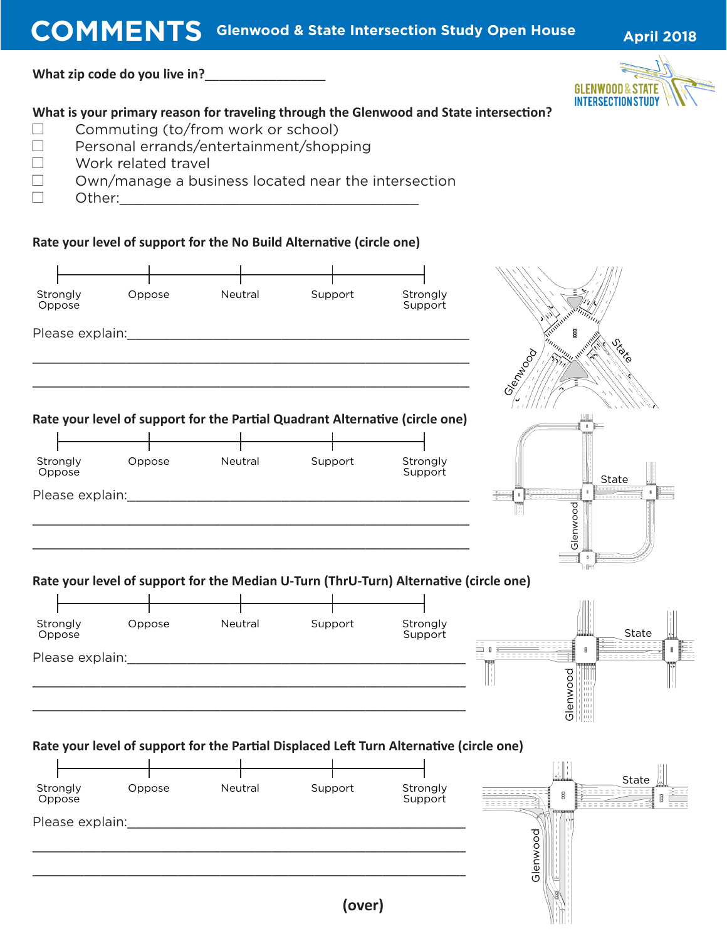**COMMENTS** Glenwood & State Intersection Study Open House April 2018

**What zip code do you live in?**\_\_\_\_\_\_\_\_\_\_\_\_\_\_\_\_\_



## **What is your primary reason for traveling through the Glenwood and State intersection?**

- $\Box$  Commuting (to/from work or school)
- $\Box$  Personal errands/entertainment/shopping
- $\Box$  Work related travel
- $\Box$  Own/manage a business located near the intersection
- $\Box$  Other:

**Rate your level of support for the No Build Alternative (circle one)**

| Strongly<br>Oppose | Oppose | Neutral                                                                                 | Support | Strongly<br>Support |                        |
|--------------------|--------|-----------------------------------------------------------------------------------------|---------|---------------------|------------------------|
| Please explain:    |        |                                                                                         |         |                     | n <sub>nnnnn</sub>     |
|                    |        | Rate your level of support for the Partial Quadrant Alternative (circle one)            |         |                     | Gien <sub>Napo</sub> o |
|                    |        |                                                                                         |         |                     |                        |
| Strongly<br>Oppose | Oppose | Neutral                                                                                 | Support | Strongly<br>Support | State                  |
|                    |        |                                                                                         |         |                     |                        |
|                    |        |                                                                                         |         |                     | Glenwood               |
|                    |        | Rate your level of support for the Median U-Turn (ThrU-Turn) Alternative (circle one)   |         |                     |                        |
|                    |        |                                                                                         |         |                     |                        |
| Strongly<br>Oppose | Oppose | Neutral                                                                                 | Support | Strongly<br>Support | State                  |
|                    |        |                                                                                         |         |                     | я                      |
|                    |        |                                                                                         |         |                     | Glenwood               |
|                    |        | Rate your level of support for the Partial Displaced Left Turn Alternative (circle one) |         |                     | $\sqcup\sqcup$         |
|                    |        |                                                                                         |         |                     | State                  |
| Strongly<br>Oppose | Oppose | Neutral                                                                                 | Support | Strongly<br>Support | ₿<br><b>DEEDEDE</b>    |
| Please explain:    |        |                                                                                         |         |                     |                        |
|                    |        |                                                                                         |         |                     | Glenwood               |
|                    |        |                                                                                         | (over)  |                     |                        |